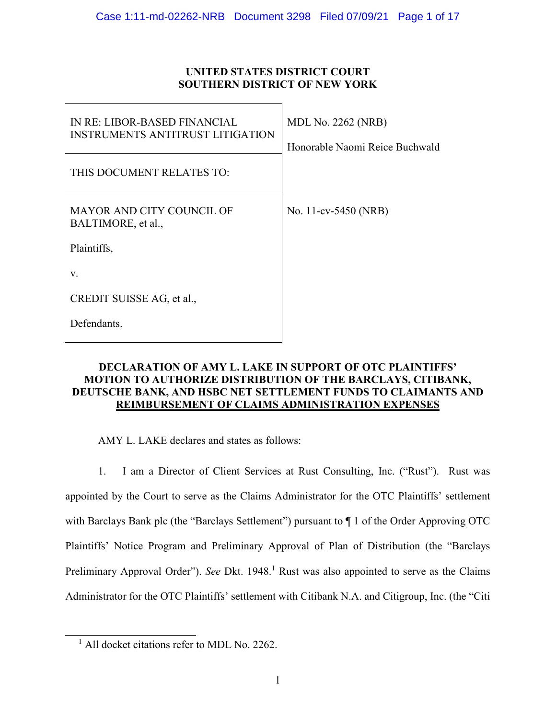# **UNITED STATES DISTRICT COURT SOUTHERN DISTRICT OF NEW YORK**

| IN RE: LIBOR-BASED FINANCIAL<br><b>INSTRUMENTS ANTITRUST LITIGATION</b> | <b>MDL No. 2262 (NRB)</b><br>Honorable Naomi Reice Buchwald |
|-------------------------------------------------------------------------|-------------------------------------------------------------|
| THIS DOCUMENT RELATES TO:                                               |                                                             |
| <b>MAYOR AND CITY COUNCIL OF</b><br>BALTIMORE, et al.,                  | No. 11-cv-5450 (NRB)                                        |
| Plaintiffs,                                                             |                                                             |
| V.                                                                      |                                                             |
| CREDIT SUISSE AG, et al.,                                               |                                                             |
| Defendants.                                                             |                                                             |

# **DECLARATION OF AMY L. LAKE IN SUPPORT OF OTC PLAINTIFFS' MOTION TO AUTHORIZE DISTRIBUTION OF THE BARCLAYS, CITIBANK, DEUTSCHE BANK, AND HSBC NET SETTLEMENT FUNDS TO CLAIMANTS AND REIMBURSEMENT OF CLAIMS ADMINISTRATION EXPENSES**

AMY L. LAKE declares and states as follows:

1. I am a Director of Client Services at Rust Consulting, Inc. ("Rust"). Rust was appointed by the Court to serve as the Claims Administrator for the OTC Plaintiffs' settlement with Barclays Bank plc (the "Barclays Settlement") pursuant to  $\P$  1 of the Order Approving OTC Plaintiffs' Notice Program and Preliminary Approval of Plan of Distribution (the "Barclays Preliminary Approval Order"). See Dkt. 1948.<sup>1</sup> Rust was also appointed to serve as the Claims Administrator for the OTC Plaintiffs' settlement with Citibank N.A. and Citigroup, Inc. (the "Citi

 $\overline{a}$ 

<sup>&</sup>lt;sup>1</sup> All docket citations refer to MDL No. 2262.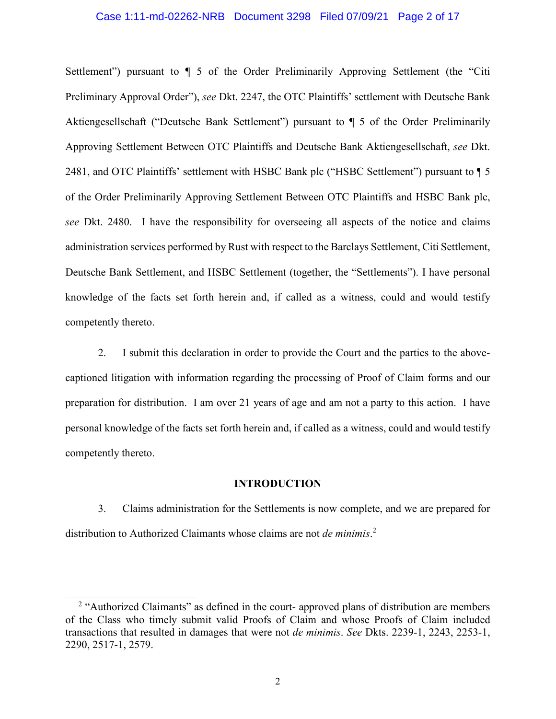### Case 1:11-md-02262-NRB Document 3298 Filed 07/09/21 Page 2 of 17

Settlement") pursuant to  $\P$  5 of the Order Preliminarily Approving Settlement (the "Citi Preliminary Approval Order"), *see* Dkt. 2247, the OTC Plaintiffs' settlement with Deutsche Bank Aktiengesellschaft ("Deutsche Bank Settlement") pursuant to ¶ 5 of the Order Preliminarily Approving Settlement Between OTC Plaintiffs and Deutsche Bank Aktiengesellschaft, *see* Dkt. 2481, and OTC Plaintiffs' settlement with HSBC Bank plc ("HSBC Settlement") pursuant to  $\P$  5 of the Order Preliminarily Approving Settlement Between OTC Plaintiffs and HSBC Bank plc, *see* Dkt. 2480. I have the responsibility for overseeing all aspects of the notice and claims administration services performed by Rust with respect to the Barclays Settlement, Citi Settlement, Deutsche Bank Settlement, and HSBC Settlement (together, the "Settlements"). I have personal knowledge of the facts set forth herein and, if called as a witness, could and would testify competently thereto.

2. I submit this declaration in order to provide the Court and the parties to the abovecaptioned litigation with information regarding the processing of Proof of Claim forms and our preparation for distribution. I am over 21 years of age and am not a party to this action. I have personal knowledge of the facts set forth herein and, if called as a witness, could and would testify competently thereto.

## **INTRODUCTION**

3. Claims administration for the Settlements is now complete, and we are prepared for distribution to Authorized Claimants whose claims are not *de minimis*. 2

 $\overline{a}$ <sup>2</sup> "Authorized Claimants" as defined in the court- approved plans of distribution are members of the Class who timely submit valid Proofs of Claim and whose Proofs of Claim included transactions that resulted in damages that were not *de minimis*. *See* Dkts. 2239-1, 2243, 2253-1, 2290, 2517-1, 2579.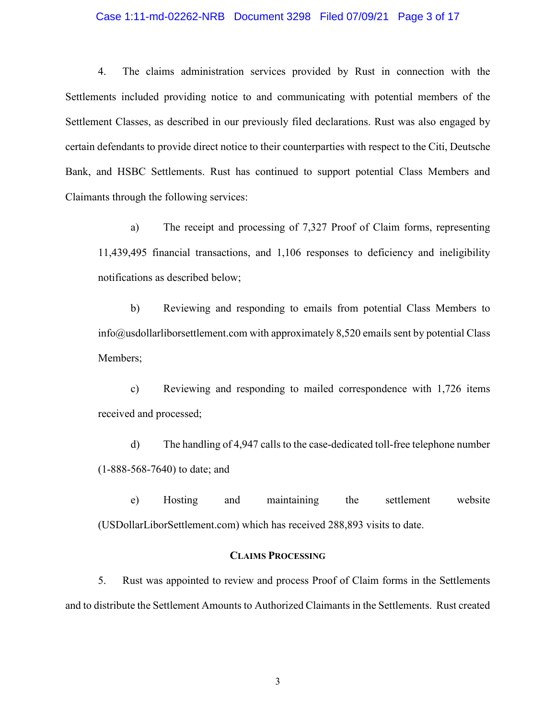## Case 1:11-md-02262-NRB Document 3298 Filed 07/09/21 Page 3 of 17

4. The claims administration services provided by Rust in connection with the Settlements included providing notice to and communicating with potential members of the Settlement Classes, as described in our previously filed declarations. Rust was also engaged by certain defendants to provide direct notice to their counterparties with respect to the Citi, Deutsche Bank, and HSBC Settlements. Rust has continued to support potential Class Members and Claimants through the following services:

a) The receipt and processing of 7,327 Proof of Claim forms, representing 11,439,495 financial transactions, and 1,106 responses to deficiency and ineligibility notifications as described below;

b) Reviewing and responding to emails from potential Class Members to info@usdollarliborsettlement.com with approximately 8,520 emails sent by potential Class Members;

c) Reviewing and responding to mailed correspondence with 1,726 items received and processed;

d) The handling of 4,947 calls to the case-dedicated toll-free telephone number (1-888-568-7640) to date; and

e) Hosting and maintaining the settlement website (USDollarLiborSettlement.com) which has received 288,893 visits to date.

# **CLAIMS PROCESSING**

5. Rust was appointed to review and process Proof of Claim forms in the Settlements and to distribute the Settlement Amounts to Authorized Claimants in the Settlements. Rust created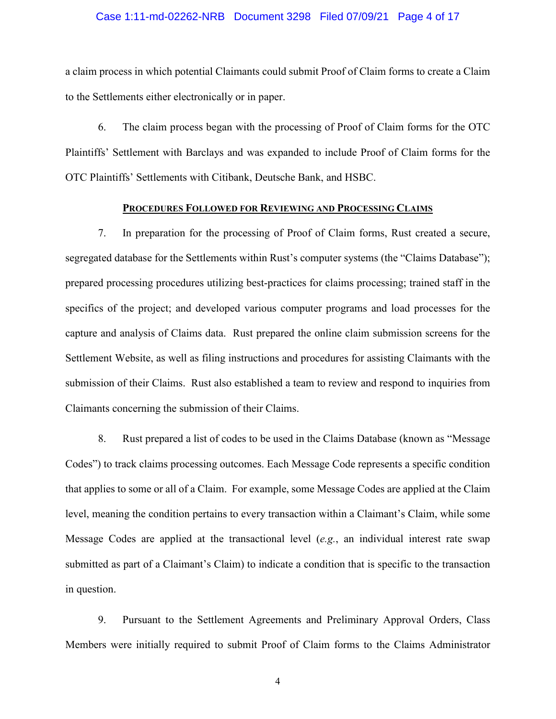### Case 1:11-md-02262-NRB Document 3298 Filed 07/09/21 Page 4 of 17

a claim process in which potential Claimants could submit Proof of Claim forms to create a Claim to the Settlements either electronically or in paper.

6. The claim process began with the processing of Proof of Claim forms for the OTC Plaintiffs' Settlement with Barclays and was expanded to include Proof of Claim forms for the OTC Plaintiffs' Settlements with Citibank, Deutsche Bank, and HSBC.

## **PROCEDURES FOLLOWED FOR REVIEWING AND PROCESSING CLAIMS**

7. In preparation for the processing of Proof of Claim forms, Rust created a secure, segregated database for the Settlements within Rust's computer systems (the "Claims Database"); prepared processing procedures utilizing best-practices for claims processing; trained staff in the specifics of the project; and developed various computer programs and load processes for the capture and analysis of Claims data. Rust prepared the online claim submission screens for the Settlement Website, as well as filing instructions and procedures for assisting Claimants with the submission of their Claims. Rust also established a team to review and respond to inquiries from Claimants concerning the submission of their Claims.

8. Rust prepared a list of codes to be used in the Claims Database (known as "Message Codes") to track claims processing outcomes. Each Message Code represents a specific condition that applies to some or all of a Claim. For example, some Message Codes are applied at the Claim level, meaning the condition pertains to every transaction within a Claimant's Claim, while some Message Codes are applied at the transactional level (*e.g.*, an individual interest rate swap submitted as part of a Claimant's Claim) to indicate a condition that is specific to the transaction in question.

9. Pursuant to the Settlement Agreements and Preliminary Approval Orders, Class Members were initially required to submit Proof of Claim forms to the Claims Administrator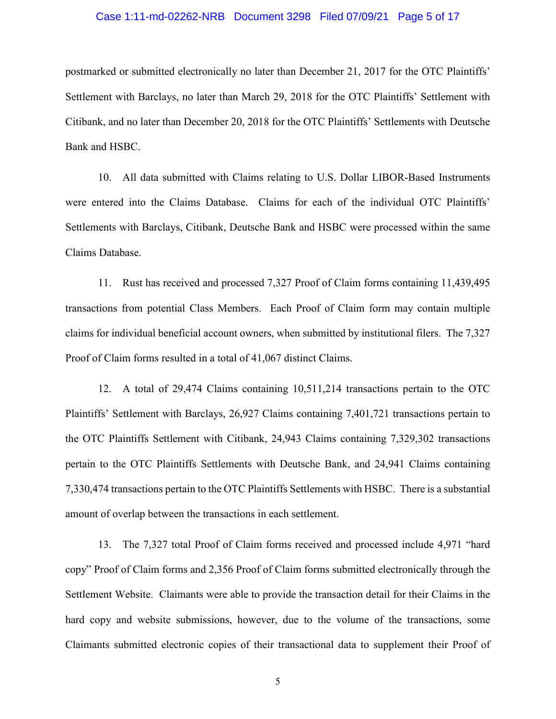### Case 1:11-md-02262-NRB Document 3298 Filed 07/09/21 Page 5 of 17

postmarked or submitted electronically no later than December 21, 2017 for the OTC Plaintiffs' Settlement with Barclays, no later than March 29, 2018 for the OTC Plaintiffs' Settlement with Citibank, and no later than December 20, 2018 for the OTC Plaintiffs' Settlements with Deutsche Bank and HSBC.

10. All data submitted with Claims relating to U.S. Dollar LIBOR-Based Instruments were entered into the Claims Database. Claims for each of the individual OTC Plaintiffs' Settlements with Barclays, Citibank, Deutsche Bank and HSBC were processed within the same Claims Database.

11. Rust has received and processed 7,327 Proof of Claim forms containing 11,439,495 transactions from potential Class Members. Each Proof of Claim form may contain multiple claims for individual beneficial account owners, when submitted by institutional filers. The 7,327 Proof of Claim forms resulted in a total of 41,067 distinct Claims.

12. A total of 29,474 Claims containing 10,511,214 transactions pertain to the OTC Plaintiffs' Settlement with Barclays, 26,927 Claims containing 7,401,721 transactions pertain to the OTC Plaintiffs Settlement with Citibank, 24,943 Claims containing 7,329,302 transactions pertain to the OTC Plaintiffs Settlements with Deutsche Bank, and 24,941 Claims containing 7,330,474 transactions pertain to the OTC Plaintiffs Settlements with HSBC. There is a substantial amount of overlap between the transactions in each settlement.

13. The 7,327 total Proof of Claim forms received and processed include 4,971 "hard copy" Proof of Claim forms and 2,356 Proof of Claim forms submitted electronically through the Settlement Website. Claimants were able to provide the transaction detail for their Claims in the hard copy and website submissions, however, due to the volume of the transactions, some Claimants submitted electronic copies of their transactional data to supplement their Proof of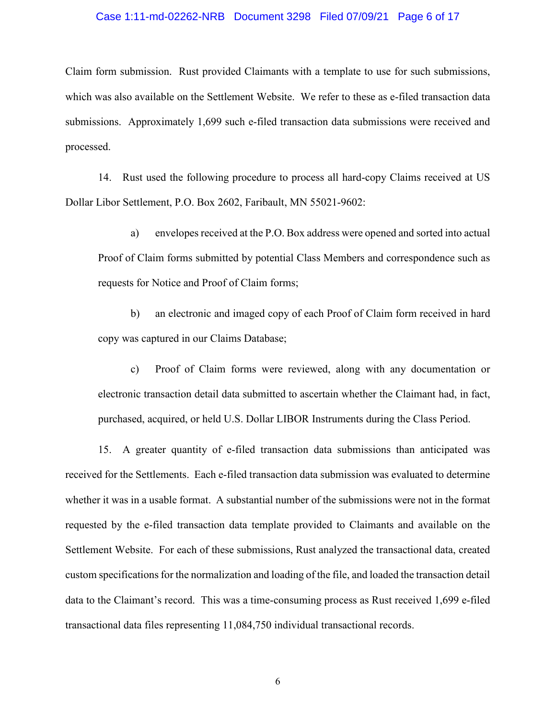## Case 1:11-md-02262-NRB Document 3298 Filed 07/09/21 Page 6 of 17

Claim form submission. Rust provided Claimants with a template to use for such submissions, which was also available on the Settlement Website. We refer to these as e-filed transaction data submissions. Approximately 1,699 such e-filed transaction data submissions were received and processed.

14. Rust used the following procedure to process all hard-copy Claims received at US Dollar Libor Settlement, P.O. Box 2602, Faribault, MN 55021-9602:

a) envelopes received at the P.O. Box address were opened and sorted into actual Proof of Claim forms submitted by potential Class Members and correspondence such as requests for Notice and Proof of Claim forms;

b) an electronic and imaged copy of each Proof of Claim form received in hard copy was captured in our Claims Database;

c) Proof of Claim forms were reviewed, along with any documentation or electronic transaction detail data submitted to ascertain whether the Claimant had, in fact, purchased, acquired, or held U.S. Dollar LIBOR Instruments during the Class Period.

15. A greater quantity of e-filed transaction data submissions than anticipated was received for the Settlements. Each e-filed transaction data submission was evaluated to determine whether it was in a usable format. A substantial number of the submissions were not in the format requested by the e-filed transaction data template provided to Claimants and available on the Settlement Website. For each of these submissions, Rust analyzed the transactional data, created custom specifications for the normalization and loading of the file, and loaded the transaction detail data to the Claimant's record. This was a time-consuming process as Rust received 1,699 e-filed transactional data files representing 11,084,750 individual transactional records.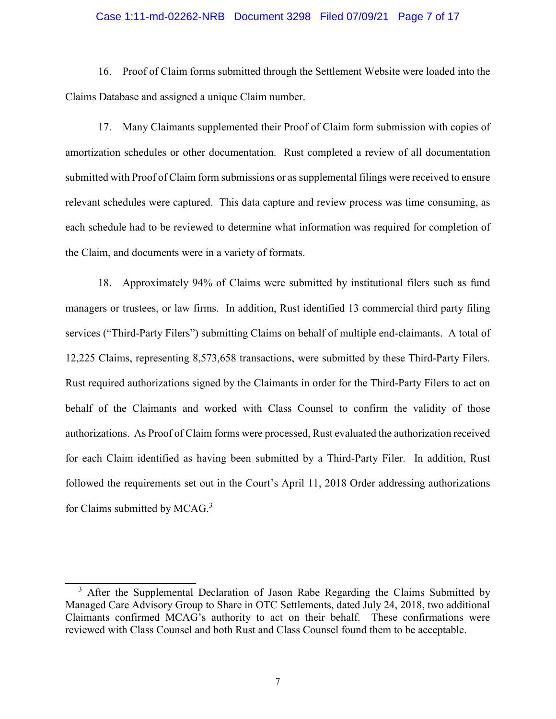## Case 1:11-md-02262-NRB Document 3298 Filed 07/09/21 Page 7 of 17

16. Proof of Claim forms submitted through the Settlement Website were loaded into the Claims Database and assigned a unique Claim number.

17. Many Claimants supplemented their Proof of Claim form submission with copies of amortization schedules or other documentation. Rust completed a review of all documentation submitted with Proof of Claim form submissions or as supplemental filings were received to ensure relevant schedules were captured. This data capture and review process was time consuming, as each schedule had to be reviewed to determine what information was required for completion of the Claim, and documents were in a variety of formats.

18. Approximately 94% of Claims were submitted by institutional filers such as fund managers or trustees, or law firms. In addition, Rust identified 13 commercial third party filing services ("Third-Party Filers") submitting Claims on behalf of multiple end-claimants. A total of 12,225 Claims, representing 8,573,658 transactions, were submitted by these Third-Party Filers. Rust required authorizations signed by the Claimants in order for the Third-Party Filers to act on behalf of the Claimants and worked with Class Counsel to confirm the validity of those authorizations. As Proof of Claim forms were processed, Rust evaluated the authorization received for each Claim identified as having been submitted by a Third-Party Filer. In addition, Rust followed the requirements set out in the Court's April 11, 2018 Order addressing authorizations for Claims submitted by MCAG.<sup>3</sup>

 $\overline{a}$ <sup>3</sup> After the Supplemental Declaration of Jason Rabe Regarding the Claims Submitted by Managed Care Advisory Group to Share in OTC Settlements, dated July 24, 2018, two additional Claimants confirmed MCAG's authority to act on their behalf. These confirmations were reviewed with Class Counsel and both Rust and Class Counsel found them to be acceptable.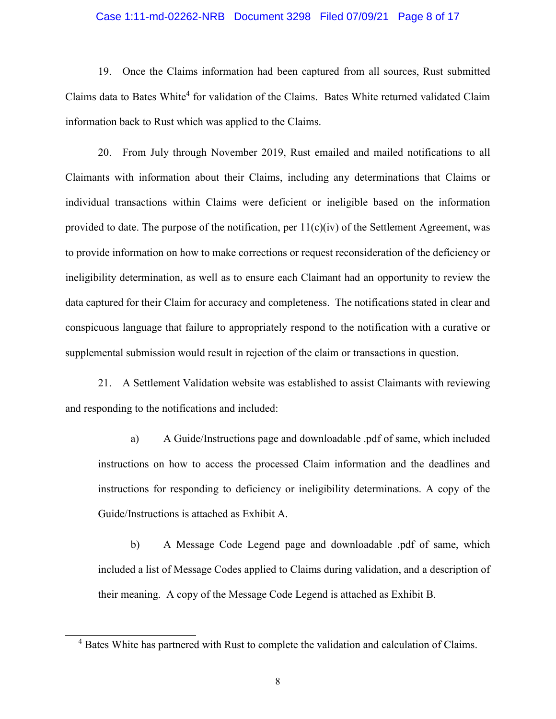## Case 1:11-md-02262-NRB Document 3298 Filed 07/09/21 Page 8 of 17

19. Once the Claims information had been captured from all sources, Rust submitted Claims data to Bates White<sup>4</sup> for validation of the Claims. Bates White returned validated Claim information back to Rust which was applied to the Claims.

20. From July through November 2019, Rust emailed and mailed notifications to all Claimants with information about their Claims, including any determinations that Claims or individual transactions within Claims were deficient or ineligible based on the information provided to date. The purpose of the notification, per  $11(c)(iv)$  of the Settlement Agreement, was to provide information on how to make corrections or request reconsideration of the deficiency or ineligibility determination, as well as to ensure each Claimant had an opportunity to review the data captured for their Claim for accuracy and completeness. The notifications stated in clear and conspicuous language that failure to appropriately respond to the notification with a curative or supplemental submission would result in rejection of the claim or transactions in question.

21. A Settlement Validation website was established to assist Claimants with reviewing and responding to the notifications and included:

a) A Guide/Instructions page and downloadable .pdf of same, which included instructions on how to access the processed Claim information and the deadlines and instructions for responding to deficiency or ineligibility determinations. A copy of the Guide/Instructions is attached as Exhibit A.

b) A Message Code Legend page and downloadable .pdf of same, which included a list of Message Codes applied to Claims during validation, and a description of their meaning. A copy of the Message Code Legend is attached as Exhibit B.

 $\overline{a}$ 

<sup>&</sup>lt;sup>4</sup> Bates White has partnered with Rust to complete the validation and calculation of Claims.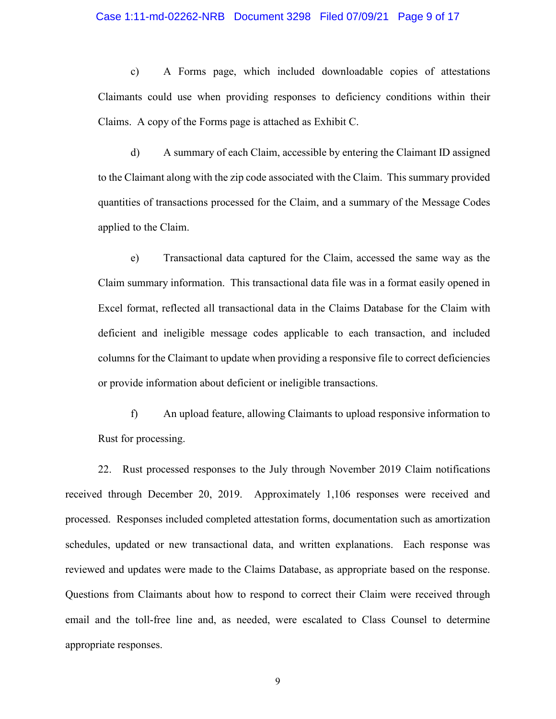#### Case 1:11-md-02262-NRB Document 3298 Filed 07/09/21 Page 9 of 17

c) A Forms page, which included downloadable copies of attestations Claimants could use when providing responses to deficiency conditions within their Claims. A copy of the Forms page is attached as Exhibit C.

d) A summary of each Claim, accessible by entering the Claimant ID assigned to the Claimant along with the zip code associated with the Claim. This summary provided quantities of transactions processed for the Claim, and a summary of the Message Codes applied to the Claim.

e) Transactional data captured for the Claim, accessed the same way as the Claim summary information. This transactional data file was in a format easily opened in Excel format, reflected all transactional data in the Claims Database for the Claim with deficient and ineligible message codes applicable to each transaction, and included columns for the Claimant to update when providing a responsive file to correct deficiencies or provide information about deficient or ineligible transactions.

f) An upload feature, allowing Claimants to upload responsive information to Rust for processing.

22. Rust processed responses to the July through November 2019 Claim notifications received through December 20, 2019. Approximately 1,106 responses were received and processed. Responses included completed attestation forms, documentation such as amortization schedules, updated or new transactional data, and written explanations. Each response was reviewed and updates were made to the Claims Database, as appropriate based on the response. Questions from Claimants about how to respond to correct their Claim were received through email and the toll-free line and, as needed, were escalated to Class Counsel to determine appropriate responses.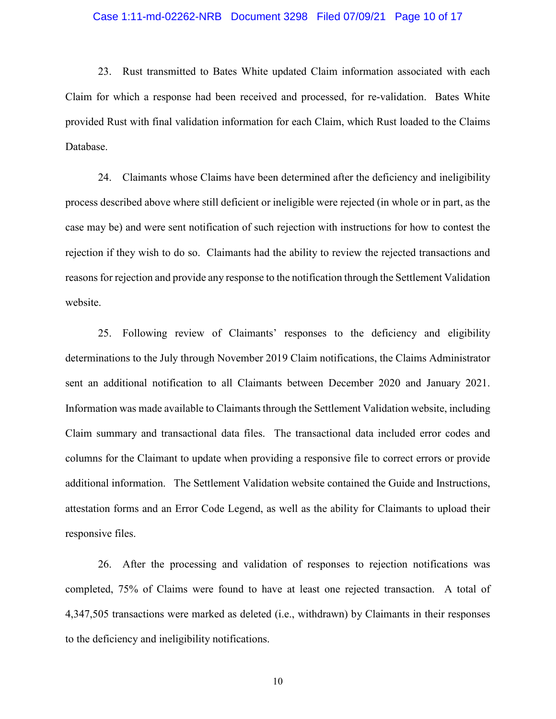#### Case 1:11-md-02262-NRB Document 3298 Filed 07/09/21 Page 10 of 17

23. Rust transmitted to Bates White updated Claim information associated with each Claim for which a response had been received and processed, for re-validation. Bates White provided Rust with final validation information for each Claim, which Rust loaded to the Claims Database.

24. Claimants whose Claims have been determined after the deficiency and ineligibility process described above where still deficient or ineligible were rejected (in whole or in part, as the case may be) and were sent notification of such rejection with instructions for how to contest the rejection if they wish to do so. Claimants had the ability to review the rejected transactions and reasons for rejection and provide any response to the notification through the Settlement Validation website.

25. Following review of Claimants' responses to the deficiency and eligibility determinations to the July through November 2019 Claim notifications, the Claims Administrator sent an additional notification to all Claimants between December 2020 and January 2021. Information was made available to Claimants through the Settlement Validation website, including Claim summary and transactional data files. The transactional data included error codes and columns for the Claimant to update when providing a responsive file to correct errors or provide additional information. The Settlement Validation website contained the Guide and Instructions, attestation forms and an Error Code Legend, as well as the ability for Claimants to upload their responsive files.

26. After the processing and validation of responses to rejection notifications was completed, 75% of Claims were found to have at least one rejected transaction. A total of 4,347,505 transactions were marked as deleted (i.e., withdrawn) by Claimants in their responses to the deficiency and ineligibility notifications.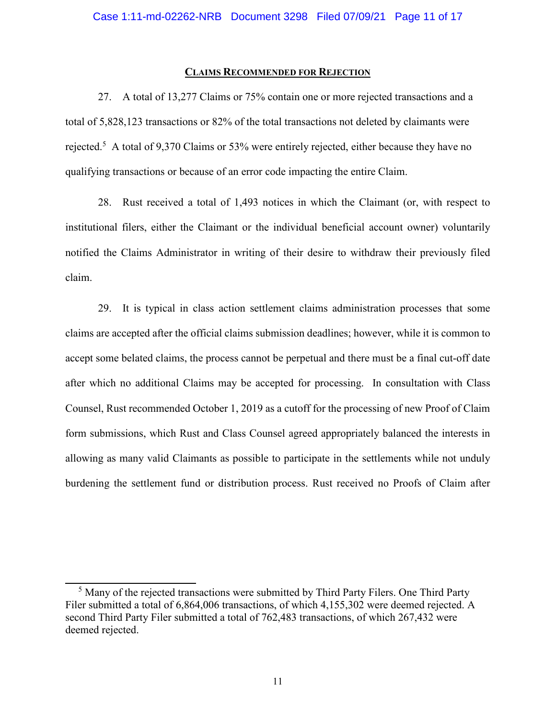## **CLAIMS RECOMMENDED FOR REJECTION**

27. A total of 13,277 Claims or 75% contain one or more rejected transactions and a total of 5,828,123 transactions or 82% of the total transactions not deleted by claimants were rejected.<sup>5</sup> A total of 9,370 Claims or 53% were entirely rejected, either because they have no qualifying transactions or because of an error code impacting the entire Claim.

28. Rust received a total of 1,493 notices in which the Claimant (or, with respect to institutional filers, either the Claimant or the individual beneficial account owner) voluntarily notified the Claims Administrator in writing of their desire to withdraw their previously filed claim.

29. It is typical in class action settlement claims administration processes that some claims are accepted after the official claims submission deadlines; however, while it is common to accept some belated claims, the process cannot be perpetual and there must be a final cut-off date after which no additional Claims may be accepted for processing. In consultation with Class Counsel, Rust recommended October 1, 2019 as a cutoff for the processing of new Proof of Claim form submissions, which Rust and Class Counsel agreed appropriately balanced the interests in allowing as many valid Claimants as possible to participate in the settlements while not unduly burdening the settlement fund or distribution process. Rust received no Proofs of Claim after

<sup>-</sup><sup>5</sup> Many of the rejected transactions were submitted by Third Party Filers. One Third Party Filer submitted a total of 6,864,006 transactions, of which 4,155,302 were deemed rejected. A second Third Party Filer submitted a total of 762,483 transactions, of which 267,432 were deemed rejected.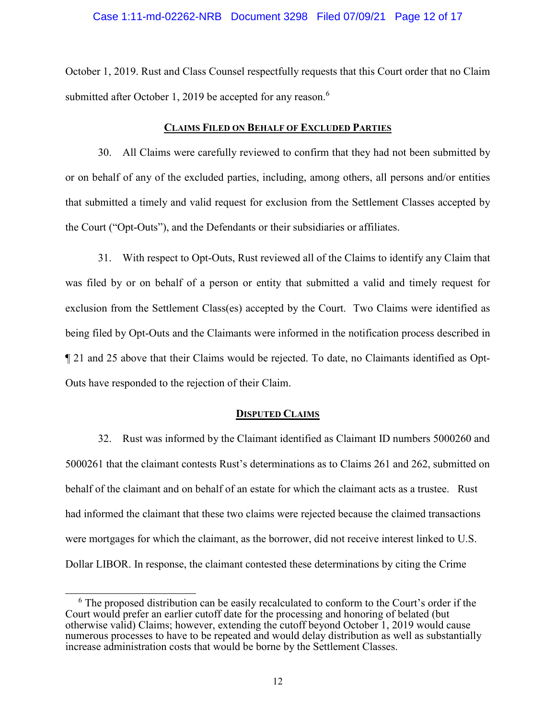## Case 1:11-md-02262-NRB Document 3298 Filed 07/09/21 Page 12 of 17

October 1, 2019. Rust and Class Counsel respectfully requests that this Court order that no Claim submitted after October 1, 2019 be accepted for any reason.<sup>6</sup>

## **CLAIMS FILED ON BEHALF OF EXCLUDED PARTIES**

30. All Claims were carefully reviewed to confirm that they had not been submitted by or on behalf of any of the excluded parties, including, among others, all persons and/or entities that submitted a timely and valid request for exclusion from the Settlement Classes accepted by the Court ("Opt-Outs"), and the Defendants or their subsidiaries or affiliates.

31. With respect to Opt-Outs, Rust reviewed all of the Claims to identify any Claim that was filed by or on behalf of a person or entity that submitted a valid and timely request for exclusion from the Settlement Class(es) accepted by the Court. Two Claims were identified as being filed by Opt-Outs and the Claimants were informed in the notification process described in ¶ 21 and 25 above that their Claims would be rejected. To date, no Claimants identified as Opt-Outs have responded to the rejection of their Claim.

## **DISPUTED CLAIMS**

32. Rust was informed by the Claimant identified as Claimant ID numbers 5000260 and 5000261 that the claimant contests Rust's determinations as to Claims 261 and 262, submitted on behalf of the claimant and on behalf of an estate for which the claimant acts as a trustee. Rust had informed the claimant that these two claims were rejected because the claimed transactions were mortgages for which the claimant, as the borrower, did not receive interest linked to U.S. Dollar LIBOR. In response, the claimant contested these determinations by citing the Crime

<sup>-</sup><sup>6</sup> The proposed distribution can be easily recalculated to conform to the Court's order if the Court would prefer an earlier cutoff date for the processing and honoring of belated (but otherwise valid) Claims; however, extending the cutoff beyond October 1, 2019 would cause numerous processes to have to be repeated and would delay distribution as well as substantially increase administration costs that would be borne by the Settlement Classes.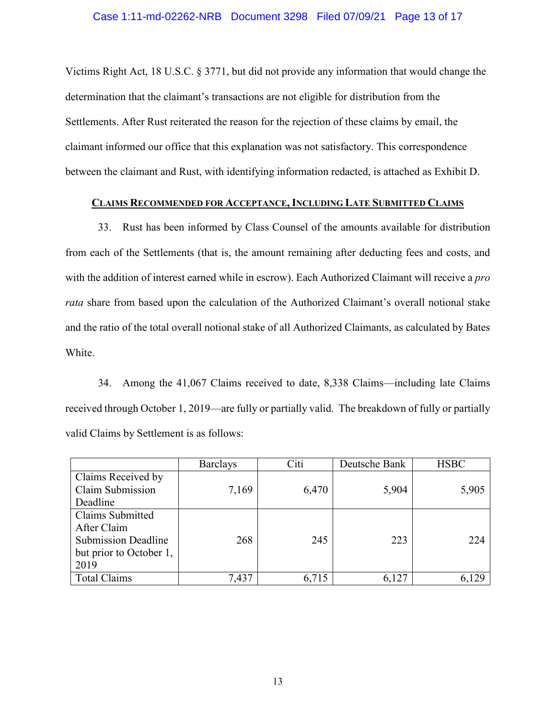Victims Right Act, 18 U.S.C. § 3771, but did not provide any information that would change the determination that the claimant's transactions are not eligible for distribution from the Settlements. After Rust reiterated the reason for the rejection of these claims by email, the claimant informed our office that this explanation was not satisfactory. This correspondence between the claimant and Rust, with identifying information redacted, is attached as Exhibit D.

# **CLAIMS RECOMMENDED FOR ACCEPTANCE, INCLUDING LATE SUBMITTED CLAIMS**

33. Rust has been informed by Class Counsel of the amounts available for distribution from each of the Settlements (that is, the amount remaining after deducting fees and costs, and with the addition of interest earned while in escrow). Each Authorized Claimant will receive a *pro rata* share from based upon the calculation of the Authorized Claimant's overall notional stake and the ratio of the total overall notional stake of all Authorized Claimants, as calculated by Bates White.

34. Among the 41,067 Claims received to date, 8,338 Claims—including late Claims received through October 1, 2019—are fully or partially valid. The breakdown of fully or partially valid Claims by Settlement is as follows:

|                            | <b>Barclays</b> | Citi  | Deutsche Bank | <b>HSBC</b> |
|----------------------------|-----------------|-------|---------------|-------------|
| Claims Received by         |                 |       |               |             |
| Claim Submission           | 7,169           | 6,470 | 5,904         | 5,905       |
| Deadline                   |                 |       |               |             |
| Claims Submitted           |                 |       |               |             |
| After Claim                |                 |       |               |             |
| <b>Submission Deadline</b> | 268             | 245   | 223           | 224         |
| but prior to October 1,    |                 |       |               |             |
| 2019                       |                 |       |               |             |
| <b>Total Claims</b>        | 7,437           | 6,715 | 6,127         | 6,129       |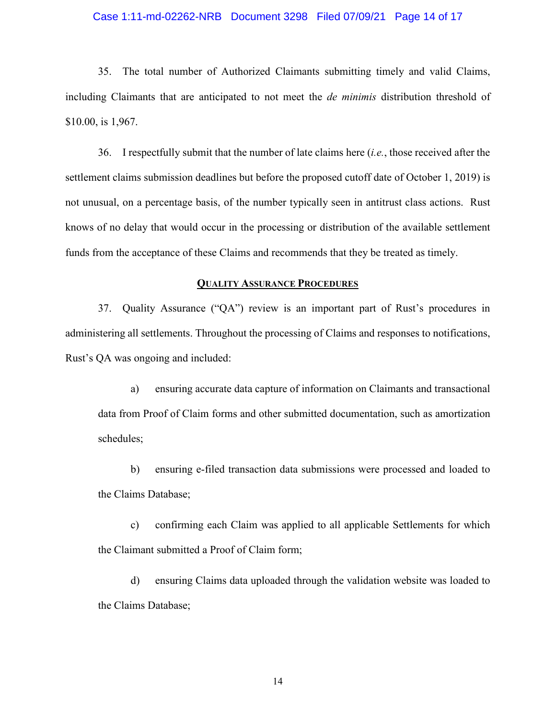## Case 1:11-md-02262-NRB Document 3298 Filed 07/09/21 Page 14 of 17

35. The total number of Authorized Claimants submitting timely and valid Claims, including Claimants that are anticipated to not meet the *de minimis* distribution threshold of \$10.00, is 1,967.

36. I respectfully submit that the number of late claims here (*i.e.*, those received after the settlement claims submission deadlines but before the proposed cutoff date of October 1, 2019) is not unusual, on a percentage basis, of the number typically seen in antitrust class actions. Rust knows of no delay that would occur in the processing or distribution of the available settlement funds from the acceptance of these Claims and recommends that they be treated as timely.

## **QUALITY ASSURANCE PROCEDURES**

37. Quality Assurance ("QA") review is an important part of Rust's procedures in administering all settlements. Throughout the processing of Claims and responses to notifications, Rust's QA was ongoing and included:

a) ensuring accurate data capture of information on Claimants and transactional data from Proof of Claim forms and other submitted documentation, such as amortization schedules;

b) ensuring e-filed transaction data submissions were processed and loaded to the Claims Database;

c) confirming each Claim was applied to all applicable Settlements for which the Claimant submitted a Proof of Claim form;

d) ensuring Claims data uploaded through the validation website was loaded to the Claims Database;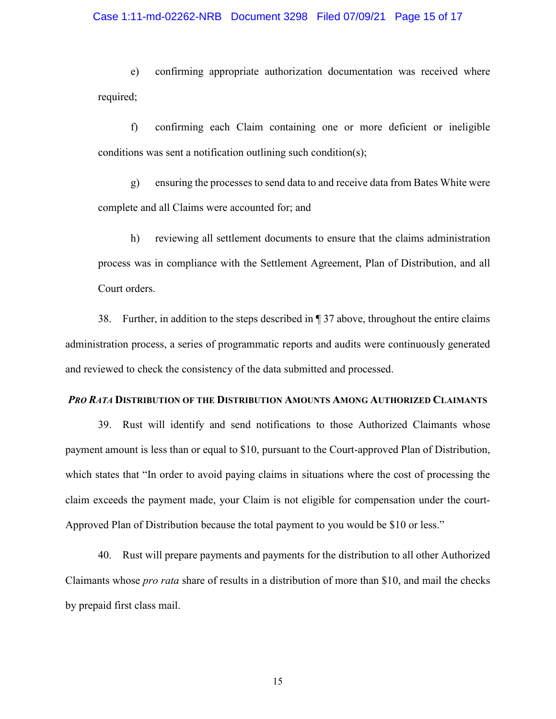#### Case 1:11-md-02262-NRB Document 3298 Filed 07/09/21 Page 15 of 17

e) confirming appropriate authorization documentation was received where required;

f) confirming each Claim containing one or more deficient or ineligible conditions was sent a notification outlining such condition(s);

g) ensuring the processes to send data to and receive data from Bates White were complete and all Claims were accounted for; and

h) reviewing all settlement documents to ensure that the claims administration process was in compliance with the Settlement Agreement, Plan of Distribution, and all Court orders.

38. Further, in addition to the steps described in ¶ 37 above, throughout the entire claims administration process, a series of programmatic reports and audits were continuously generated and reviewed to check the consistency of the data submitted and processed.

## *PRO RATA* **DISTRIBUTION OF THE DISTRIBUTION AMOUNTS AMONG AUTHORIZED CLAIMANTS**

39. Rust will identify and send notifications to those Authorized Claimants whose payment amount is less than or equal to \$10, pursuant to the Court-approved Plan of Distribution, which states that "In order to avoid paying claims in situations where the cost of processing the claim exceeds the payment made, your Claim is not eligible for compensation under the court-Approved Plan of Distribution because the total payment to you would be \$10 or less."

40. Rust will prepare payments and payments for the distribution to all other Authorized Claimants whose *pro rata* share of results in a distribution of more than \$10, and mail the checks by prepaid first class mail.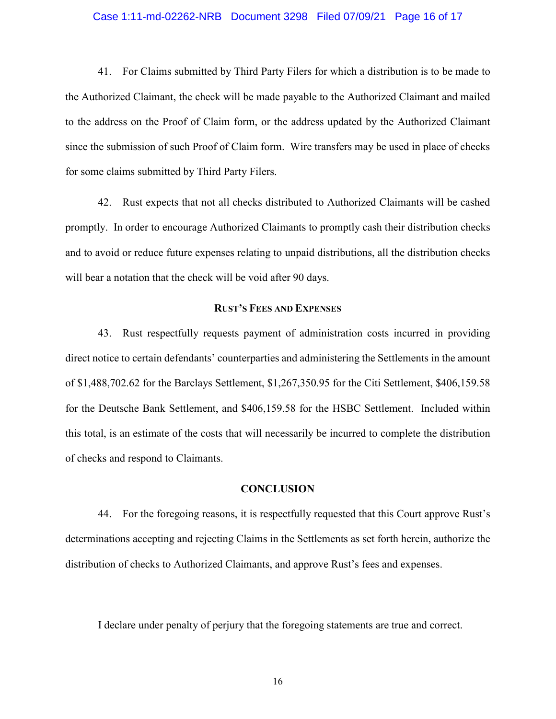### Case 1:11-md-02262-NRB Document 3298 Filed 07/09/21 Page 16 of 17

41. For Claims submitted by Third Party Filers for which a distribution is to be made to the Authorized Claimant, the check will be made payable to the Authorized Claimant and mailed to the address on the Proof of Claim form, or the address updated by the Authorized Claimant since the submission of such Proof of Claim form. Wire transfers may be used in place of checks for some claims submitted by Third Party Filers.

42. Rust expects that not all checks distributed to Authorized Claimants will be cashed promptly. In order to encourage Authorized Claimants to promptly cash their distribution checks and to avoid or reduce future expenses relating to unpaid distributions, all the distribution checks will bear a notation that the check will be void after 90 days.

#### **RUST'S FEES AND EXPENSES**

43. Rust respectfully requests payment of administration costs incurred in providing direct notice to certain defendants' counterparties and administering the Settlements in the amount of \$1,488,702.62 for the Barclays Settlement, \$1,267,350.95 for the Citi Settlement, \$406,159.58 for the Deutsche Bank Settlement, and \$406,159.58 for the HSBC Settlement. Included within this total, is an estimate of the costs that will necessarily be incurred to complete the distribution of checks and respond to Claimants.

# **CONCLUSION**

44. For the foregoing reasons, it is respectfully requested that this Court approve Rust's determinations accepting and rejecting Claims in the Settlements as set forth herein, authorize the distribution of checks to Authorized Claimants, and approve Rust's fees and expenses.

I declare under penalty of perjury that the foregoing statements are true and correct.